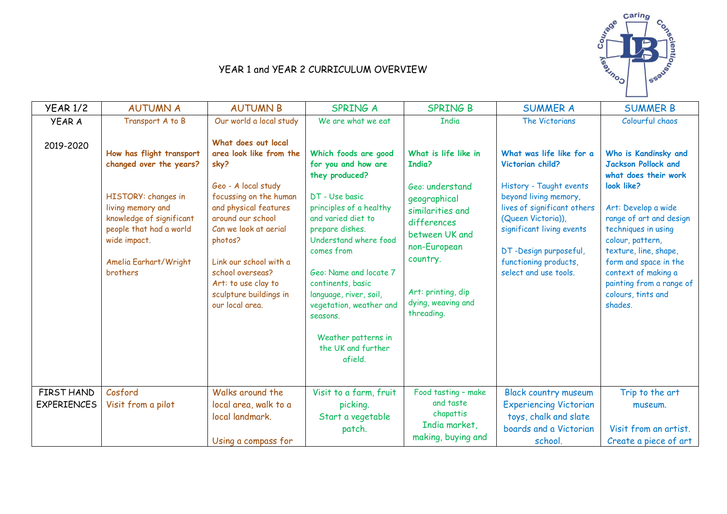

## YEAR 1 and YEAR 2 CURRICULUM OVERVIEW

| <b>YEAR 1/2</b>                  | <b>AUTUMN A</b>                                                                                                                                                                                                    | <b>AUTUMN B</b>                                                                                                                                                                                                                                                                                             | <b>SPRING A</b>                                                                                                                                                                                                                                                                                                                                                    | <b>SPRING B</b>                                                                                                                                                                                              | <b>SUMMER A</b>                                                                                                                                                                                                                                               | <b>SUMMER B</b>                                                                                                                                                                                                                                                                                                             |
|----------------------------------|--------------------------------------------------------------------------------------------------------------------------------------------------------------------------------------------------------------------|-------------------------------------------------------------------------------------------------------------------------------------------------------------------------------------------------------------------------------------------------------------------------------------------------------------|--------------------------------------------------------------------------------------------------------------------------------------------------------------------------------------------------------------------------------------------------------------------------------------------------------------------------------------------------------------------|--------------------------------------------------------------------------------------------------------------------------------------------------------------------------------------------------------------|---------------------------------------------------------------------------------------------------------------------------------------------------------------------------------------------------------------------------------------------------------------|-----------------------------------------------------------------------------------------------------------------------------------------------------------------------------------------------------------------------------------------------------------------------------------------------------------------------------|
| <b>YEAR A</b>                    | Transport A to B                                                                                                                                                                                                   | Our world a local study                                                                                                                                                                                                                                                                                     | We are what we eat                                                                                                                                                                                                                                                                                                                                                 | <b>India</b>                                                                                                                                                                                                 | The Victorians                                                                                                                                                                                                                                                | Colourful chaos                                                                                                                                                                                                                                                                                                             |
| 2019-2020                        | How has flight transport<br>changed over the years?<br>HISTORY: changes in<br>living memory and<br>knowledge of significant<br>people that had a world<br>wide impact.<br>Amelia Earhart/Wright<br><b>brothers</b> | What does out local<br>area look like from the<br>sky?<br>Geo - A local study<br>focussing on the human<br>and physical features<br>around our school<br>Can we look at aerial<br>photos?<br>Link our school with a<br>school overseas?<br>Art: to use clay to<br>sculpture buildings in<br>our local area. | Which foods are good<br>for you and how are<br>they produced?<br>DT - Use basic<br>principles of a healthy<br>and varied diet to<br>prepare dishes.<br>Understand where food<br>comes from<br>Geo: Name and locate 7<br>continents, basic<br>language, river, soil,<br>vegetation, weather and<br>seasons.<br>Weather patterns in<br>the UK and further<br>afield. | What is life like in<br>India?<br>Geo: understand<br>geographical<br>similarities and<br>differences<br>between UK and<br>non-European<br>country.<br>Art: printing, dip<br>dying, weaving and<br>threading. | What was life like for a<br>Victorian child?<br>History - Taught events<br>beyond living memory,<br>lives of significant others<br>(Queen Victoria)),<br>significant living events<br>DT-Design purposeful,<br>functioning products,<br>select and use tools. | Who is Kandinsky and<br><b>Jackson Pollock and</b><br>what does their work<br>look like?<br>Art: Develop a wide<br>range of art and design<br>techniques in using<br>colour, pattern,<br>texture, line, shape,<br>form and space in the<br>context of making a<br>painting from a range of<br>colours, tints and<br>shades. |
|                                  |                                                                                                                                                                                                                    |                                                                                                                                                                                                                                                                                                             |                                                                                                                                                                                                                                                                                                                                                                    |                                                                                                                                                                                                              |                                                                                                                                                                                                                                                               |                                                                                                                                                                                                                                                                                                                             |
| FIRST HAND<br><b>EXPERIENCES</b> | Cosford<br>Visit from a pilot                                                                                                                                                                                      | Walks around the<br>local area, walk to a<br>local landmark.                                                                                                                                                                                                                                                | Visit to a farm, fruit<br>picking.<br>Start a vegetable<br>patch.                                                                                                                                                                                                                                                                                                  | Food tasting - make<br>and taste<br>chapattis<br>India market,                                                                                                                                               | <b>Black country museum</b><br><b>Experiencing Victorian</b><br>toys, chalk and slate<br>boards and a Victorian                                                                                                                                               | Trip to the art<br>museum.<br>Visit from an artist.                                                                                                                                                                                                                                                                         |
|                                  |                                                                                                                                                                                                                    | Using a compass for                                                                                                                                                                                                                                                                                         |                                                                                                                                                                                                                                                                                                                                                                    | making, buying and                                                                                                                                                                                           | school.                                                                                                                                                                                                                                                       | Create a piece of art                                                                                                                                                                                                                                                                                                       |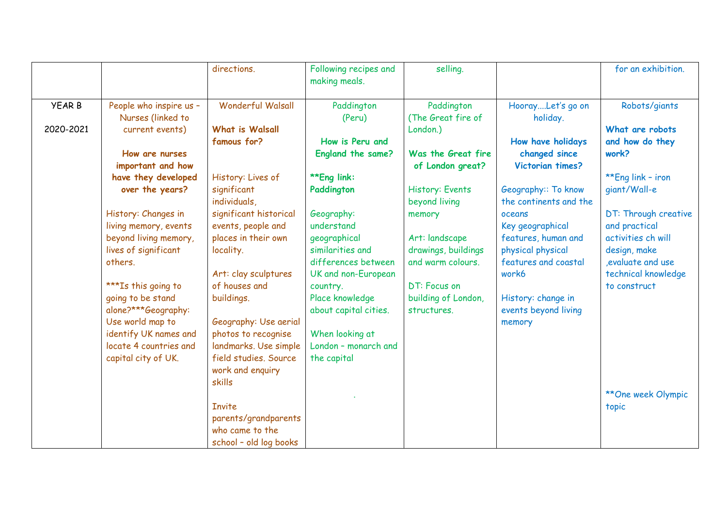|               |                                              | directions.              | Following recipes and<br>making meals.   | selling.                           |                                            | for an exhibition.        |
|---------------|----------------------------------------------|--------------------------|------------------------------------------|------------------------------------|--------------------------------------------|---------------------------|
| <b>YEAR B</b> | People who inspire us -<br>Nurses (linked to | <b>Wonderful Walsall</b> | Paddington<br>(Peru)                     | Paddington<br>(The Great fire of   | HoorayLet's go on<br>holiday.              | Robots/giants             |
| 2020-2021     | current events)                              | <b>What is Walsall</b>   |                                          | London.)                           |                                            | What are robots           |
|               |                                              | famous for?              | How is Peru and                          |                                    | How have holidays                          | and how do they           |
|               | How are nurses                               |                          | England the same?                        | Was the Great fire                 | changed since                              | work?                     |
|               | important and how                            |                          |                                          | of London great?                   | Victorian times?                           |                           |
|               | have they developed                          | History: Lives of        | **Eng link:                              |                                    |                                            | **Eng link - iron         |
|               | over the years?                              | significant              | Paddington                               | History: Events                    | Geography:: To know                        | giant/Wall-e              |
|               |                                              | individuals,             |                                          | beyond living                      | the continents and the                     |                           |
|               | History: Changes in                          | significant historical   | Geography:                               | memory                             | oceans                                     | DT: Through creative      |
|               | living memory, events                        | events, people and       | understand                               |                                    | Key geographical                           | and practical             |
|               | beyond living memory,                        | places in their own      | geographical                             | Art: landscape                     | features, human and                        | activities ch will        |
|               | lives of significant                         | locality.                | similarities and                         | drawings, buildings                | physical physical                          | design, make              |
|               | others.                                      |                          | differences between                      | and warm colours.                  | features and coastal                       | evaluate and use          |
|               |                                              | Art: clay sculptures     | UK and non-European                      |                                    | work6                                      | technical knowledge       |
|               | ***Is this going to                          | of houses and            | country.                                 | DT: Focus on                       |                                            | to construct              |
|               | going to be stand<br>alone?***Geography:     | buildings.               | Place knowledge<br>about capital cities. | building of London,<br>structures. | History: change in<br>events beyond living |                           |
|               | Use world map to                             | Geography: Use aerial    |                                          |                                    | memory                                     |                           |
|               | identify UK names and                        | photos to recognise      | When looking at                          |                                    |                                            |                           |
|               | locate 4 countries and                       | landmarks. Use simple    | London - monarch and                     |                                    |                                            |                           |
|               | capital city of UK.                          | field studies. Source    | the capital                              |                                    |                                            |                           |
|               |                                              | work and enquiry         |                                          |                                    |                                            |                           |
|               |                                              | skills                   |                                          |                                    |                                            |                           |
|               |                                              |                          |                                          |                                    |                                            | <b>**One week Olympic</b> |
|               |                                              | <b>Invite</b>            |                                          |                                    |                                            | topic                     |
|               |                                              | parents/grandparents     |                                          |                                    |                                            |                           |
|               |                                              | who came to the          |                                          |                                    |                                            |                           |
|               |                                              | school - old log books   |                                          |                                    |                                            |                           |